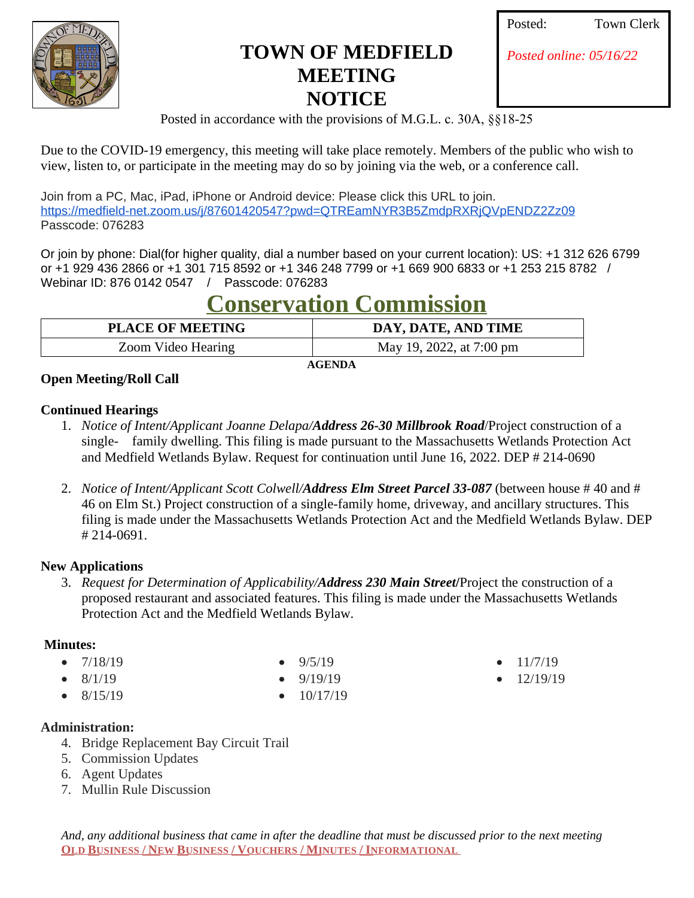

# **TOWN OF MEDFIELD MEETING NOTICE**

| osted: | <b>Town Clerk</b> |
|--------|-------------------|
|        |                   |

*[Posted online: 05/16/22](https://www.google.com/url?q=https%3A%2F%2Fmedfield-net.zoom.us%2Fj%2F87601420547%3Fpwd%3DQTREamNYR3B5ZmdpRXRjQVpENDZ2Zz09&sa=D&ust=1652638470939000&usg=AOvVaw0t6f-RU6eXwuaQgxIfd33C)*

Posted in accordance with the provisions of M.G.L. c. 30A, §§18-25

Due to the COVID-19 emergency, this meeting will take place remotely. Members of the public who wish to view, listen to, or participate in the meeting may do so by joining via the web, or a conference call.

Join from a PC, Mac, iPad, iPhone or Android device: Please click this URL to join. [https://medfield-net.zoom.us/j/87601420547?pwd=QTREamNYR3B5ZmdpRXRjQVpENDZ2Zz09](https://www.google.com/url?q=https%3A%2F%2Fmedfield-net.zoom.us%2Fj%2F87601420547%3Fpwd%3DQTREamNYR3B5ZmdpRXRjQVpENDZ2Zz09&sa=D&ust=1652638470939000&usg=AOvVaw0t6f-RU6eXwuaQgxIfd33C)  [Passcode: 076283](https://www.google.com/url?q=https%3A%2F%2Fmedfield-net.zoom.us%2Fj%2F87601420547%3Fpwd%3DQTREamNYR3B5ZmdpRXRjQVpENDZ2Zz09&sa=D&ust=1652638470939000&usg=AOvVaw0t6f-RU6eXwuaQgxIfd33C)

[Or join by phone:](https://www.google.com/url?q=https%3A%2F%2Fmedfield-net.zoom.us%2Fj%2F87601420547%3Fpwd%3DQTREamNYR3B5ZmdpRXRjQVpENDZ2Zz09&sa=D&ust=1652638470939000&usg=AOvVaw0t6f-RU6eXwuaQgxIfd33C) [Dial\(for higher quality, dial a number based on your current location\): US: +1 312 626 6799](https://www.google.com/url?q=https%3A%2F%2Fmedfield-net.zoom.us%2Fj%2F87601420547%3Fpwd%3DQTREamNYR3B5ZmdpRXRjQVpENDZ2Zz09&sa=D&ust=1652638470939000&usg=AOvVaw0t6f-RU6eXwuaQgxIfd33C)  [or +1 929 436 2866 or +1 301 715 8592 or +1 346 248 7799 or +1 669 900 6833 or +1 253 215 8782 /](https://www.google.com/url?q=https%3A%2F%2Fmedfield-net.zoom.us%2Fj%2F87601420547%3Fpwd%3DQTREamNYR3B5ZmdpRXRjQVpENDZ2Zz09&sa=D&ust=1652638470939000&usg=AOvVaw0t6f-RU6eXwuaQgxIfd33C) [Webinar ID: 876 0142 0547 / Passcode: 076283](https://www.google.com/url?q=https%3A%2F%2Fmedfield-net.zoom.us%2Fj%2F87601420547%3Fpwd%3DQTREamNYR3B5ZmdpRXRjQVpENDZ2Zz09&sa=D&ust=1652638470939000&usg=AOvVaw0t6f-RU6eXwuaQgxIfd33C)

# **[Conservation Commission](https://www.google.com/url?q=https%3A%2F%2Fmedfield-net.zoom.us%2Fj%2F87601420547%3Fpwd%3DQTREamNYR3B5ZmdpRXRjQVpENDZ2Zz09&sa=D&ust=1652638470939000&usg=AOvVaw0t6f-RU6eXwuaQgxIfd33C)**

| DAY, DATE, AND TIME      |
|--------------------------|
| May 19, 2022, at 7:00 pm |
|                          |

 **[AGENDA](https://www.google.com/url?q=https%3A%2F%2Fmedfield-net.zoom.us%2Fj%2F87601420547%3Fpwd%3DQTREamNYR3B5ZmdpRXRjQVpENDZ2Zz09&sa=D&ust=1652638470939000&usg=AOvVaw0t6f-RU6eXwuaQgxIfd33C)**

# **[Open Meeting/Roll Call](https://www.google.com/url?q=https%3A%2F%2Fmedfield-net.zoom.us%2Fj%2F87601420547%3Fpwd%3DQTREamNYR3B5ZmdpRXRjQVpENDZ2Zz09&sa=D&ust=1652638470939000&usg=AOvVaw0t6f-RU6eXwuaQgxIfd33C)**

#### **[Continued Hearings](https://www.google.com/url?q=https%3A%2F%2Fmedfield-net.zoom.us%2Fj%2F87601420547%3Fpwd%3DQTREamNYR3B5ZmdpRXRjQVpENDZ2Zz09&sa=D&ust=1652638470939000&usg=AOvVaw0t6f-RU6eXwuaQgxIfd33C)**

- 1. *[Notice of Intent/Applicant Joanne Delapa/](https://www.google.com/url?q=https%3A%2F%2Fmedfield-net.zoom.us%2Fj%2F87601420547%3Fpwd%3DQTREamNYR3B5ZmdpRXRjQVpENDZ2Zz09&sa=D&ust=1652638470939000&usg=AOvVaw0t6f-RU6eXwuaQgxIfd33C)[Address 26-30 Millbrook Road](https://www.google.com/url?q=https%3A%2F%2Fmedfield-net.zoom.us%2Fj%2F87601420547%3Fpwd%3DQTREamNYR3B5ZmdpRXRjQVpENDZ2Zz09&sa=D&ust=1652638470939000&usg=AOvVaw0t6f-RU6eXwuaQgxIfd33C)*[/Project construction of a](https://www.google.com/url?q=https%3A%2F%2Fmedfield-net.zoom.us%2Fj%2F87601420547%3Fpwd%3DQTREamNYR3B5ZmdpRXRjQVpENDZ2Zz09&sa=D&ust=1652638470939000&usg=AOvVaw0t6f-RU6eXwuaQgxIfd33C)  [single- family dwelling. This filing is made pursuant to the Massachusetts Wetlands Protection Act](https://www.google.com/url?q=https%3A%2F%2Fmedfield-net.zoom.us%2Fj%2F87601420547%3Fpwd%3DQTREamNYR3B5ZmdpRXRjQVpENDZ2Zz09&sa=D&ust=1652638470939000&usg=AOvVaw0t6f-RU6eXwuaQgxIfd33C)  [and Medfield Wetlands Bylaw. Request for continuation until June 16, 2022. DEP # 214-0690](https://www.google.com/url?q=https%3A%2F%2Fmedfield-net.zoom.us%2Fj%2F87601420547%3Fpwd%3DQTREamNYR3B5ZmdpRXRjQVpENDZ2Zz09&sa=D&ust=1652638470939000&usg=AOvVaw0t6f-RU6eXwuaQgxIfd33C)
- 2. *[Notice of Intent/Applicant Scott Colwell/](https://www.google.com/url?q=https%3A%2F%2Fmedfield-net.zoom.us%2Fj%2F87601420547%3Fpwd%3DQTREamNYR3B5ZmdpRXRjQVpENDZ2Zz09&sa=D&ust=1652638470939000&usg=AOvVaw0t6f-RU6eXwuaQgxIfd33C)[Address Elm Street Parcel 33-087](https://www.google.com/url?q=https%3A%2F%2Fmedfield-net.zoom.us%2Fj%2F87601420547%3Fpwd%3DQTREamNYR3B5ZmdpRXRjQVpENDZ2Zz09&sa=D&ust=1652638470939000&usg=AOvVaw0t6f-RU6eXwuaQgxIfd33C)* [\(between house # 40 and #](https://www.google.com/url?q=https%3A%2F%2Fmedfield-net.zoom.us%2Fj%2F87601420547%3Fpwd%3DQTREamNYR3B5ZmdpRXRjQVpENDZ2Zz09&sa=D&ust=1652638470939000&usg=AOvVaw0t6f-RU6eXwuaQgxIfd33C)  [46 on Elm St.\) Project construction of a single-family home, driveway, and ancillary structures.](https://www.google.com/url?q=https%3A%2F%2Fmedfield-net.zoom.us%2Fj%2F87601420547%3Fpwd%3DQTREamNYR3B5ZmdpRXRjQVpENDZ2Zz09&sa=D&ust=1652638470939000&usg=AOvVaw0t6f-RU6eXwuaQgxIfd33C) [This](https://www.google.com/url?q=https%3A%2F%2Fmedfield-net.zoom.us%2Fj%2F87601420547%3Fpwd%3DQTREamNYR3B5ZmdpRXRjQVpENDZ2Zz09&sa=D&ust=1652638470939000&usg=AOvVaw0t6f-RU6eXwuaQgxIfd33C)  [filing is made under the Massachusetts Wetlands Protection Act and the Medfield Wetlands Bylaw. DEP](https://www.google.com/url?q=https%3A%2F%2Fmedfield-net.zoom.us%2Fj%2F87601420547%3Fpwd%3DQTREamNYR3B5ZmdpRXRjQVpENDZ2Zz09&sa=D&ust=1652638470939000&usg=AOvVaw0t6f-RU6eXwuaQgxIfd33C) [# 214-0691.](https://www.google.com/url?q=https%3A%2F%2Fmedfield-net.zoom.us%2Fj%2F87601420547%3Fpwd%3DQTREamNYR3B5ZmdpRXRjQVpENDZ2Zz09&sa=D&ust=1652638470939000&usg=AOvVaw0t6f-RU6eXwuaQgxIfd33C)

# **[New Applications](https://www.google.com/url?q=https%3A%2F%2Fmedfield-net.zoom.us%2Fj%2F87601420547%3Fpwd%3DQTREamNYR3B5ZmdpRXRjQVpENDZ2Zz09&sa=D&ust=1652638470939000&usg=AOvVaw0t6f-RU6eXwuaQgxIfd33C)**

3. *[Request for Determination of Applicability/](https://www.google.com/url?q=https%3A%2F%2Fmedfield-net.zoom.us%2Fj%2F87601420547%3Fpwd%3DQTREamNYR3B5ZmdpRXRjQVpENDZ2Zz09&sa=D&ust=1652638470939000&usg=AOvVaw0t6f-RU6eXwuaQgxIfd33C)[Address 230 Main Street](https://www.google.com/url?q=https%3A%2F%2Fmedfield-net.zoom.us%2Fj%2F87601420547%3Fpwd%3DQTREamNYR3B5ZmdpRXRjQVpENDZ2Zz09&sa=D&ust=1652638470939000&usg=AOvVaw0t6f-RU6eXwuaQgxIfd33C)***[/](https://www.google.com/url?q=https%3A%2F%2Fmedfield-net.zoom.us%2Fj%2F87601420547%3Fpwd%3DQTREamNYR3B5ZmdpRXRjQVpENDZ2Zz09&sa=D&ust=1652638470939000&usg=AOvVaw0t6f-RU6eXwuaQgxIfd33C)**[Project the construction of a](https://www.google.com/url?q=https%3A%2F%2Fmedfield-net.zoom.us%2Fj%2F87601420547%3Fpwd%3DQTREamNYR3B5ZmdpRXRjQVpENDZ2Zz09&sa=D&ust=1652638470939000&usg=AOvVaw0t6f-RU6eXwuaQgxIfd33C)  [proposed restaurant and associated features. This filing is made under the Massachusetts Wetlands](https://www.google.com/url?q=https%3A%2F%2Fmedfield-net.zoom.us%2Fj%2F87601420547%3Fpwd%3DQTREamNYR3B5ZmdpRXRjQVpENDZ2Zz09&sa=D&ust=1652638470939000&usg=AOvVaw0t6f-RU6eXwuaQgxIfd33C)  [Protection Act and the Medfield Wetlands Bylaw.](https://www.google.com/url?q=https%3A%2F%2Fmedfield-net.zoom.us%2Fj%2F87601420547%3Fpwd%3DQTREamNYR3B5ZmdpRXRjQVpENDZ2Zz09&sa=D&ust=1652638470939000&usg=AOvVaw0t6f-RU6eXwuaQgxIfd33C)

# **[Minutes:](https://www.google.com/url?q=https%3A%2F%2Fmedfield-net.zoom.us%2Fj%2F87601420547%3Fpwd%3DQTREamNYR3B5ZmdpRXRjQVpENDZ2Zz09&sa=D&ust=1652638470939000&usg=AOvVaw0t6f-RU6eXwuaQgxIfd33C)**

- $\bullet$  [7/18/19](https://www.google.com/url?q=https%3A%2F%2Fmedfield-net.zoom.us%2Fj%2F87601420547%3Fpwd%3DQTREamNYR3B5ZmdpRXRjQVpENDZ2Zz09&sa=D&ust=1652638470939000&usg=AOvVaw0t6f-RU6eXwuaQgxIfd33C)
- [8/1/19](https://www.google.com/url?q=https%3A%2F%2Fmedfield-net.zoom.us%2Fj%2F87601420547%3Fpwd%3DQTREamNYR3B5ZmdpRXRjQVpENDZ2Zz09&sa=D&ust=1652638470939000&usg=AOvVaw0t6f-RU6eXwuaQgxIfd33C)
- [8/15/19](https://www.google.com/url?q=https%3A%2F%2Fmedfield-net.zoom.us%2Fj%2F87601420547%3Fpwd%3DQTREamNYR3B5ZmdpRXRjQVpENDZ2Zz09&sa=D&ust=1652638470939000&usg=AOvVaw0t6f-RU6eXwuaQgxIfd33C)

# **[Administration:](https://www.google.com/url?q=https%3A%2F%2Fmedfield-net.zoom.us%2Fj%2F87601420547%3Fpwd%3DQTREamNYR3B5ZmdpRXRjQVpENDZ2Zz09&sa=D&ust=1652638470939000&usg=AOvVaw0t6f-RU6eXwuaQgxIfd33C)**

- 4. [Bridge Replacement Bay Circuit Trail](https://www.google.com/url?q=https%3A%2F%2Fmedfield-net.zoom.us%2Fj%2F87601420547%3Fpwd%3DQTREamNYR3B5ZmdpRXRjQVpENDZ2Zz09&sa=D&ust=1652638470939000&usg=AOvVaw0t6f-RU6eXwuaQgxIfd33C)
- 5. [Commission Updates](https://www.google.com/url?q=https%3A%2F%2Fmedfield-net.zoom.us%2Fj%2F87601420547%3Fpwd%3DQTREamNYR3B5ZmdpRXRjQVpENDZ2Zz09&sa=D&ust=1652638470939000&usg=AOvVaw0t6f-RU6eXwuaQgxIfd33C)
- 6. [Agent Updates](https://www.google.com/url?q=https%3A%2F%2Fmedfield-net.zoom.us%2Fj%2F87601420547%3Fpwd%3DQTREamNYR3B5ZmdpRXRjQVpENDZ2Zz09&sa=D&ust=1652638470939000&usg=AOvVaw0t6f-RU6eXwuaQgxIfd33C)
- 7. [Mullin Rule Discussion](https://www.google.com/url?q=https%3A%2F%2Fmedfield-net.zoom.us%2Fj%2F87601420547%3Fpwd%3DQTREamNYR3B5ZmdpRXRjQVpENDZ2Zz09&sa=D&ust=1652638470939000&usg=AOvVaw0t6f-RU6eXwuaQgxIfd33C)
- [9/5/19](https://www.google.com/url?q=https%3A%2F%2Fmedfield-net.zoom.us%2Fj%2F87601420547%3Fpwd%3DQTREamNYR3B5ZmdpRXRjQVpENDZ2Zz09&sa=D&ust=1652638470939000&usg=AOvVaw0t6f-RU6eXwuaQgxIfd33C)
- [9/19/19](https://www.google.com/url?q=https%3A%2F%2Fmedfield-net.zoom.us%2Fj%2F87601420547%3Fpwd%3DQTREamNYR3B5ZmdpRXRjQVpENDZ2Zz09&sa=D&ust=1652638470939000&usg=AOvVaw0t6f-RU6eXwuaQgxIfd33C)
- [10/17/19](https://www.google.com/url?q=https%3A%2F%2Fmedfield-net.zoom.us%2Fj%2F87601420547%3Fpwd%3DQTREamNYR3B5ZmdpRXRjQVpENDZ2Zz09&sa=D&ust=1652638470939000&usg=AOvVaw0t6f-RU6eXwuaQgxIfd33C)
- [11/7/19](https://www.google.com/url?q=https%3A%2F%2Fmedfield-net.zoom.us%2Fj%2F87601420547%3Fpwd%3DQTREamNYR3B5ZmdpRXRjQVpENDZ2Zz09&sa=D&ust=1652638470939000&usg=AOvVaw0t6f-RU6eXwuaQgxIfd33C)
- [12/19/19](https://www.google.com/url?q=https%3A%2F%2Fmedfield-net.zoom.us%2Fj%2F87601420547%3Fpwd%3DQTREamNYR3B5ZmdpRXRjQVpENDZ2Zz09&sa=D&ust=1652638470939000&usg=AOvVaw0t6f-RU6eXwuaQgxIfd33C)

*And, any additional business that came in after the deadline that must be discussed prior to the next meeting* **OLD BUSINESS / NEW BUSINESS / VOUCHERS / MINUTES / INFORMATIONAL**